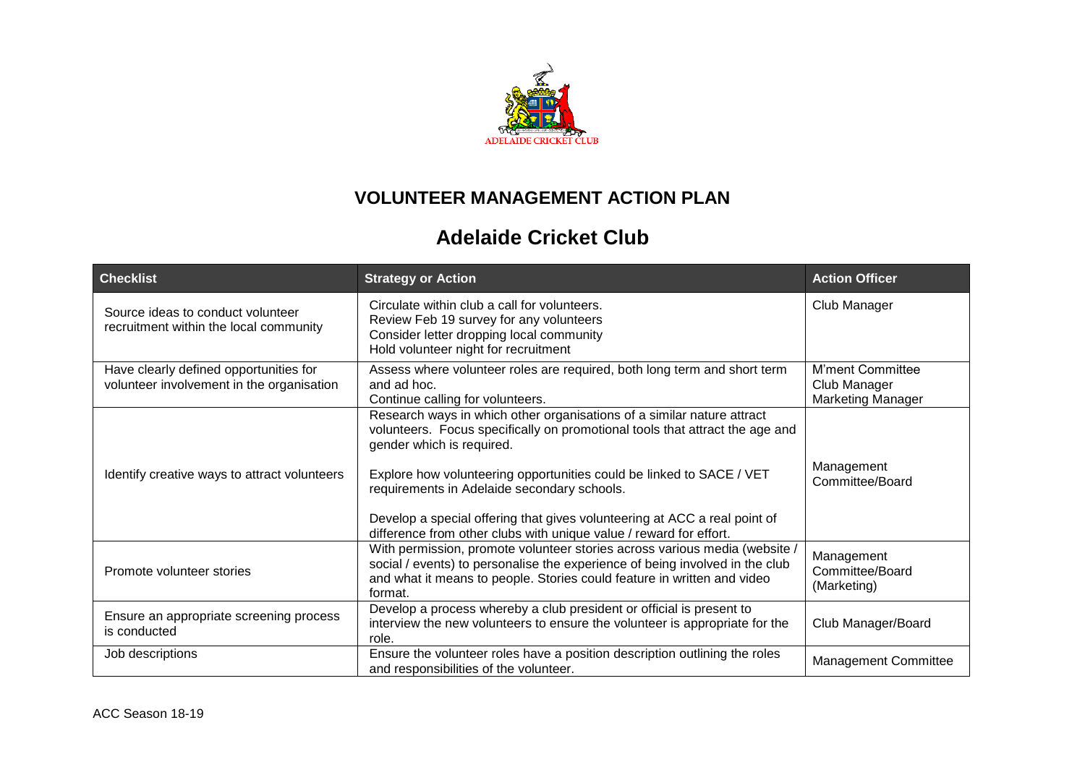

## **VOLUNTEER MANAGEMENT ACTION PLAN**

## **Adelaide Cricket Club**

| <b>Checklist</b>                                                                    | <b>Strategy or Action</b>                                                                                                                                                                                                                                                                                                                                                                                                                                     | <b>Action Officer</b>                                               |
|-------------------------------------------------------------------------------------|---------------------------------------------------------------------------------------------------------------------------------------------------------------------------------------------------------------------------------------------------------------------------------------------------------------------------------------------------------------------------------------------------------------------------------------------------------------|---------------------------------------------------------------------|
| Source ideas to conduct volunteer<br>recruitment within the local community         | Circulate within club a call for volunteers.<br>Review Feb 19 survey for any volunteers<br>Consider letter dropping local community<br>Hold volunteer night for recruitment                                                                                                                                                                                                                                                                                   | Club Manager                                                        |
| Have clearly defined opportunities for<br>volunteer involvement in the organisation | Assess where volunteer roles are required, both long term and short term<br>and ad hoc.<br>Continue calling for volunteers.                                                                                                                                                                                                                                                                                                                                   | <b>M'ment Committee</b><br>Club Manager<br><b>Marketing Manager</b> |
| Identify creative ways to attract volunteers                                        | Research ways in which other organisations of a similar nature attract<br>volunteers. Focus specifically on promotional tools that attract the age and<br>gender which is required.<br>Explore how volunteering opportunities could be linked to SACE / VET<br>requirements in Adelaide secondary schools.<br>Develop a special offering that gives volunteering at ACC a real point of<br>difference from other clubs with unique value / reward for effort. | Management<br>Committee/Board                                       |
| Promote volunteer stories                                                           | With permission, promote volunteer stories across various media (website /<br>social / events) to personalise the experience of being involved in the club<br>and what it means to people. Stories could feature in written and video<br>format.                                                                                                                                                                                                              | Management<br>Committee/Board<br>(Marketing)                        |
| Ensure an appropriate screening process<br>is conducted                             | Develop a process whereby a club president or official is present to<br>interview the new volunteers to ensure the volunteer is appropriate for the<br>role.                                                                                                                                                                                                                                                                                                  | Club Manager/Board                                                  |
| Job descriptions                                                                    | Ensure the volunteer roles have a position description outlining the roles<br>and responsibilities of the volunteer.                                                                                                                                                                                                                                                                                                                                          | <b>Management Committee</b>                                         |